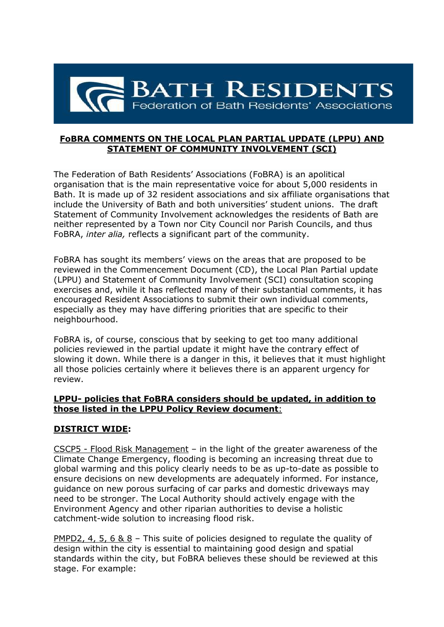

## **FoBRA COMMENTS ON THE LOCAL PLAN PARTIAL UPDATE (LPPU) AND STATEMENT OF COMMUNITY INVOLVEMENT (SCI)**

The Federation of Bath Residents' Associations (FoBRA) is an apolitical organisation that is the main representative voice for about 5,000 residents in Bath. It is made up of 32 resident associations and six affiliate organisations that include the University of Bath and both universities' student unions. The draft Statement of Community Involvement acknowledges the residents of Bath are neither represented by a Town nor City Council nor Parish Councils, and thus FoBRA, *inter alia,* reflects a significant part of the community.

FoBRA has sought its members' views on the areas that are proposed to be reviewed in the Commencement Document (CD), the Local Plan Partial update (LPPU) and Statement of Community Involvement (SCI) consultation scoping exercises and, while it has reflected many of their substantial comments, it has encouraged Resident Associations to submit their own individual comments, especially as they may have differing priorities that are specific to their neighbourhood.

FoBRA is, of course, conscious that by seeking to get too many additional policies reviewed in the partial update it might have the contrary effect of slowing it down. While there is a danger in this, it believes that it must highlight all those policies certainly where it believes there is an apparent urgency for review.

### **LPPU- policies that FoBRA considers should be updated, in addition to those listed in the LPPU Policy Review document**:

## **DISTRICT WIDE:**

CSCP5 - Flood Risk Management – in the light of the greater awareness of the Climate Change Emergency, flooding is becoming an increasing threat due to global warming and this policy clearly needs to be as up-to-date as possible to ensure decisions on new developments are adequately informed. For instance, guidance on new porous surfacing of car parks and domestic driveways may need to be stronger. The Local Authority should actively engage with the Environment Agency and other riparian authorities to devise a holistic catchment-wide solution to increasing flood risk.

PMPD2, 4, 5, 6 & 8 – This suite of policies designed to regulate the quality of design within the city is essential to maintaining good design and spatial standards within the city, but FoBRA believes these should be reviewed at this stage. For example: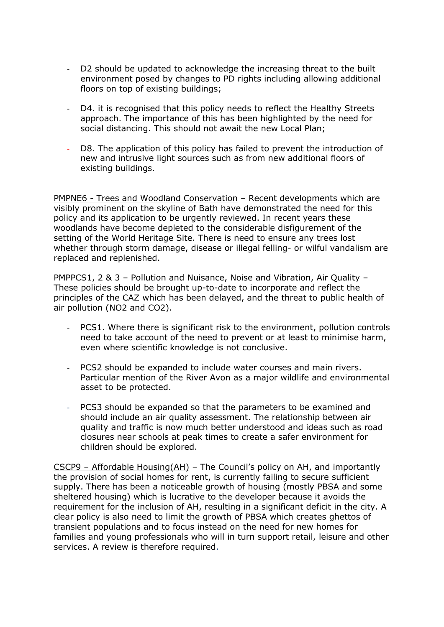- D2 should be updated to acknowledge the increasing threat to the built environment posed by changes to PD rights including allowing additional floors on top of existing buildings;
- D4. it is recognised that this policy needs to reflect the Healthy Streets approach. The importance of this has been highlighted by the need for social distancing. This should not await the new Local Plan;
- D8. The application of this policy has failed to prevent the introduction of new and intrusive light sources such as from new additional floors of existing buildings.

PMPNE6 - Trees and Woodland Conservation – Recent developments which are visibly prominent on the skyline of Bath have demonstrated the need for this policy and its application to be urgently reviewed. In recent years these woodlands have become depleted to the considerable disfigurement of the setting of the World Heritage Site. There is need to ensure any trees lost whether through storm damage, disease or illegal felling- or wilful vandalism are replaced and replenished.

PMPPCS1, 2 & 3 – Pollution and Nuisance, Noise and Vibration, Air Quality – These policies should be brought up-to-date to incorporate and reflect the principles of the CAZ which has been delayed, and the threat to public health of air pollution (NO2 and CO2).

- PCS1. Where there is significant risk to the environment, pollution controls need to take account of the need to prevent or at least to minimise harm, even where scientific knowledge is not conclusive.
- PCS2 should be expanded to include water courses and main rivers. Particular mention of the River Avon as a major wildlife and environmental asset to be protected.
- PCS3 should be expanded so that the parameters to be examined and should include an air quality assessment. The relationship between air quality and traffic is now much better understood and ideas such as road closures near schools at peak times to create a safer environment for children should be explored.

CSCP9 – Affordable Housing(AH) – The Council's policy on AH, and importantly the provision of social homes for rent, is currently failing to secure sufficient supply. There has been a noticeable growth of housing (mostly PBSA and some sheltered housing) which is lucrative to the developer because it avoids the requirement for the inclusion of AH, resulting in a significant deficit in the city. A clear policy is also need to limit the growth of PBSA which creates ghettos of transient populations and to focus instead on the need for new homes for families and young professionals who will in turn support retail, leisure and other services. A review is therefore required.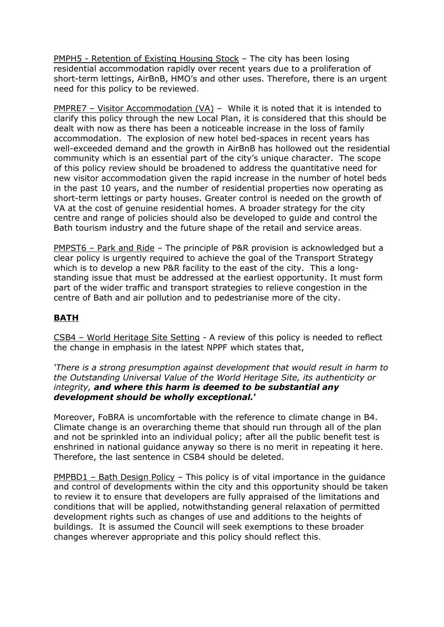PMPH5 - Retention of Existing Housing Stock – The city has been losing residential accommodation rapidly over recent years due to a proliferation of short-term lettings, AirBnB, HMO's and other uses. Therefore, there is an urgent need for this policy to be reviewed.

**PMPRE7** – Visitor Accommodation (VA) – While it is noted that it is intended to clarify this policy through the new Local Plan, it is considered that this should be dealt with now as there has been a noticeable increase in the loss of family accommodation. The explosion of new hotel bed-spaces in recent years has well-exceeded demand and the growth in AirBnB has hollowed out the residential community which is an essential part of the city's unique character. The scope of this policy review should be broadened to address the quantitative need for new visitor accommodation given the rapid increase in the number of hotel beds in the past 10 years, and the number of residential properties now operating as short-term lettings or party houses. Greater control is needed on the growth of VA at the cost of genuine residential homes. A broader strategy for the city centre and range of policies should also be developed to guide and control the Bath tourism industry and the future shape of the retail and service areas.

PMPST6 – Park and Ride – The principle of P&R provision is acknowledged but a clear policy is urgently required to achieve the goal of the Transport Strategy which is to develop a new P&R facility to the east of the city. This a longstanding issue that must be addressed at the earliest opportunity. It must form part of the wider traffic and transport strategies to relieve congestion in the centre of Bath and air pollution and to pedestrianise more of the city.

# **BATH**

CSB4 – World Heritage Site Setting - A review of this policy is needed to reflect the change in emphasis in the latest NPPF which states that,

*'There is a strong presumption against development that would result in harm to the Outstanding Universal Value of the World Heritage Site, its authenticity or integrity, and where this harm is deemed to be substantial any development should be wholly exceptional.***'** 

Moreover, FoBRA is uncomfortable with the reference to climate change in B4. Climate change is an overarching theme that should run through all of the plan and not be sprinkled into an individual policy; after all the public benefit test is enshrined in national guidance anyway so there is no merit in repeating it here. Therefore, the last sentence in CSB4 should be deleted.

PMPBD1 – Bath Design Policy – This policy is of vital importance in the guidance and control of developments within the city and this opportunity should be taken to review it to ensure that developers are fully appraised of the limitations and conditions that will be applied, notwithstanding general relaxation of permitted development rights such as changes of use and additions to the heights of buildings. It is assumed the Council will seek exemptions to these broader changes wherever appropriate and this policy should reflect this.